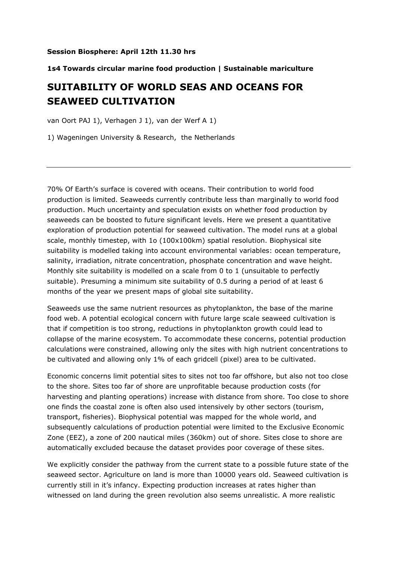## **Session Biosphere: April 12th 11.30 hrs**

## **1s4 Towards circular marine food production | Sustainable mariculture**

## **SUITABILITY OF WORLD SEAS AND OCEANS FOR SEAWEED CULTIVATION**

van Oort PAJ 1), Verhagen J 1), van der Werf A 1)

1) Wageningen University & Research, the Netherlands

70% Of Earth's surface is covered with oceans. Their contribution to world food production is limited. Seaweeds currently contribute less than marginally to world food production. Much uncertainty and speculation exists on whether food production by seaweeds can be boosted to future significant levels. Here we present a quantitative exploration of production potential for seaweed cultivation. The model runs at a global scale, monthly timestep, with 1o (100x100km) spatial resolution. Biophysical site suitability is modelled taking into account environmental variables: ocean temperature, salinity, irradiation, nitrate concentration, phosphate concentration and wave height. Monthly site suitability is modelled on a scale from 0 to 1 (unsuitable to perfectly suitable). Presuming a minimum site suitability of 0.5 during a period of at least 6 months of the year we present maps of global site suitability.

Seaweeds use the same nutrient resources as phytoplankton, the base of the marine food web. A potential ecological concern with future large scale seaweed cultivation is that if competition is too strong, reductions in phytoplankton growth could lead to collapse of the marine ecosystem. To accommodate these concerns, potential production calculations were constrained, allowing only the sites with high nutrient concentrations to be cultivated and allowing only 1% of each gridcell (pixel) area to be cultivated.

Economic concerns limit potential sites to sites not too far offshore, but also not too close to the shore. Sites too far of shore are unprofitable because production costs (for harvesting and planting operations) increase with distance from shore. Too close to shore one finds the coastal zone is often also used intensively by other sectors (tourism, transport, fisheries). Biophysical potential was mapped for the whole world, and subsequently calculations of production potential were limited to the Exclusive Economic Zone (EEZ), a zone of 200 nautical miles (360km) out of shore. Sites close to shore are automatically excluded because the dataset provides poor coverage of these sites.

We explicitly consider the pathway from the current state to a possible future state of the seaweed sector. Agriculture on land is more than 10000 years old. Seaweed cultivation is currently still in it's infancy. Expecting production increases at rates higher than witnessed on land during the green revolution also seems unrealistic. A more realistic